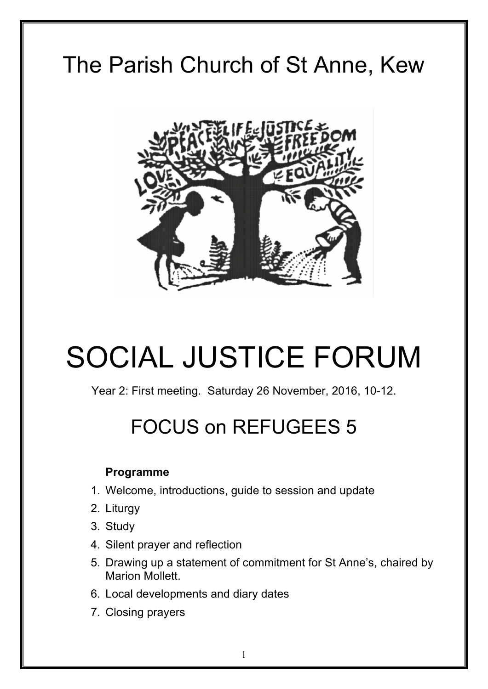# The Parish Church of St Anne, Kew



# SOCIAL JUSTICE FORUM

Year 2: First meeting. Saturday 26 November, 2016, 10-12.

# FOCUS on REFUGEES 5

# **Programme**

- 1. Welcome, introductions, guide to session and update
- 2. Liturgy
- 3. Study
- 4. Silent prayer and reflection
- 5. Drawing up a statement of commitment for St Anne's, chaired by Marion Mollett.
- 6. Local developments and diary dates
- 7. Closing prayers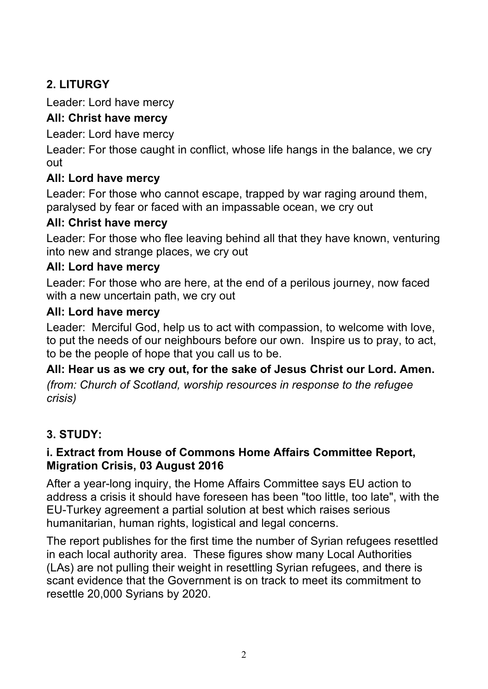# **2. LITURGY**

Leader: Lord have mercy

# **All: Christ have mercy**

Leader: Lord have mercy

Leader: For those caught in conflict, whose life hangs in the balance, we cry out

# **All: Lord have mercy**

Leader: For those who cannot escape, trapped by war raging around them, paralysed by fear or faced with an impassable ocean, we cry out

# **All: Christ have mercy**

Leader: For those who flee leaving behind all that they have known, venturing into new and strange places, we cry out

# **All: Lord have mercy**

Leader: For those who are here, at the end of a perilous journey, now faced with a new uncertain path, we cry out

# **All: Lord have mercy**

Leader: Merciful God, help us to act with compassion, to welcome with love, to put the needs of our neighbours before our own. Inspire us to pray, to act, to be the people of hope that you call us to be.

# **All: Hear us as we cry out, for the sake of Jesus Christ our Lord. Amen.**

*(from: Church of Scotland, worship resources in response to the refugee crisis)* 

# **3. STUDY:**

# **i. Extract from House of Commons Home Affairs Committee Report, Migration Crisis, 03 August 2016**

After a year-long inquiry, the Home Affairs Committee says EU action to address a crisis it should have foreseen has been "too little, too late", with the EU-Turkey agreement a partial solution at best which raises serious humanitarian, human rights, logistical and legal concerns.

The report publishes for the first time the number of Syrian refugees resettled in each local authority area. These figures show many Local Authorities (LAs) are not pulling their weight in resettling Syrian refugees, and there is scant evidence that the Government is on track to meet its commitment to resettle 20,000 Syrians by 2020.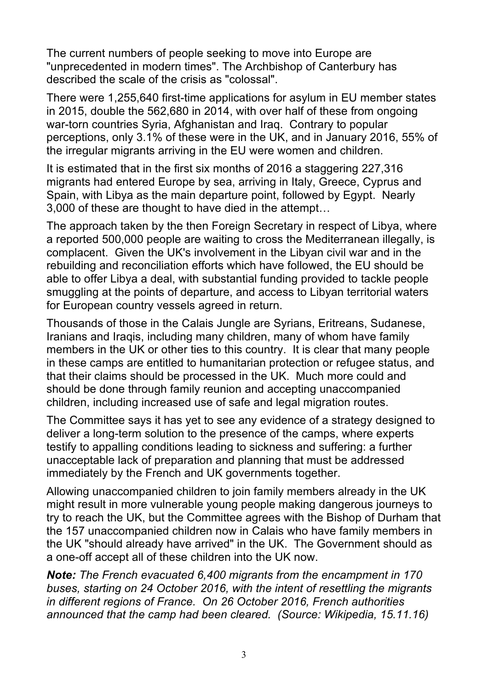The current numbers of people seeking to move into Europe are "unprecedented in modern times". The Archbishop of Canterbury has described the scale of the crisis as "colossal".

There were 1,255,640 first-time applications for asylum in EU member states in 2015, double the 562,680 in 2014, with over half of these from ongoing war-torn countries Syria, Afghanistan and Iraq. Contrary to popular perceptions, only 3.1% of these were in the UK, and in January 2016, 55% of the irregular migrants arriving in the EU were women and children.

It is estimated that in the first six months of 2016 a staggering 227,316 migrants had entered Europe by sea, arriving in Italy, Greece, Cyprus and Spain, with Libya as the main departure point, followed by Egypt. Nearly 3,000 of these are thought to have died in the attempt…

The approach taken by the then Foreign Secretary in respect of Libya, where a reported 500,000 people are waiting to cross the Mediterranean illegally, is complacent. Given the UK's involvement in the Libyan civil war and in the rebuilding and reconciliation efforts which have followed, the EU should be able to offer Libya a deal, with substantial funding provided to tackle people smuggling at the points of departure, and access to Libyan territorial waters for European country vessels agreed in return.

Thousands of those in the Calais Jungle are Syrians, Eritreans, Sudanese, Iranians and Iraqis, including many children, many of whom have family members in the UK or other ties to this country. It is clear that many people in these camps are entitled to humanitarian protection or refugee status, and that their claims should be processed in the UK. Much more could and should be done through family reunion and accepting unaccompanied children, including increased use of safe and legal migration routes.

The Committee says it has yet to see any evidence of a strategy designed to deliver a long-term solution to the presence of the camps, where experts testify to appalling conditions leading to sickness and suffering: a further unacceptable lack of preparation and planning that must be addressed immediately by the French and UK governments together.

Allowing unaccompanied children to join family members already in the UK might result in more vulnerable young people making dangerous journeys to try to reach the UK, but the Committee agrees with the Bishop of Durham that the 157 unaccompanied children now in Calais who have family members in the UK "should already have arrived" in the UK. The Government should as a one-off accept all of these children into the UK now.

*Note: The French evacuated 6,400 migrants from the encampment in 170 buses, starting on 24 October 2016, with the intent of resettling the migrants in different regions of France. On 26 October 2016, French authorities announced that the camp had been cleared. (Source: Wikipedia, 15.11.16)*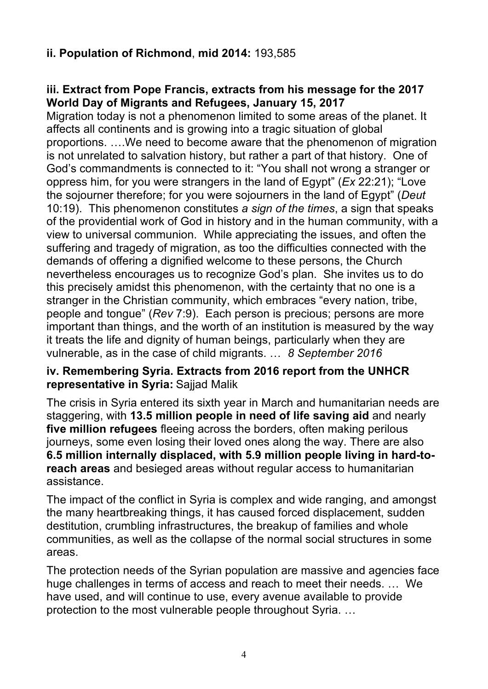# **ii. Population of Richmond**, **mid 2014:** 193,585

# **iii. Extract from Pope Francis, extracts from his message for the 2017 World Day of Migrants and Refugees, January 15, 2017**

Migration today is not a phenomenon limited to some areas of the planet. It affects all continents and is growing into a tragic situation of global proportions. ….We need to become aware that the phenomenon of migration is not unrelated to salvation history, but rather a part of that history. One of God's commandments is connected to it: "You shall not wrong a stranger or oppress him, for you were strangers in the land of Egypt" (*Ex* 22:21); "Love the sojourner therefore; for you were sojourners in the land of Egypt" (*Deut* 10:19). This phenomenon constitutes *a sign of the times*, a sign that speaks of the providential work of God in history and in the human community, with a view to universal communion. While appreciating the issues, and often the suffering and tragedy of migration, as too the difficulties connected with the demands of offering a dignified welcome to these persons, the Church nevertheless encourages us to recognize God's plan. She invites us to do this precisely amidst this phenomenon, with the certainty that no one is a stranger in the Christian community, which embraces "every nation, tribe, people and tongue" (*Rev* 7:9). Each person is precious; persons are more important than things, and the worth of an institution is measured by the way it treats the life and dignity of human beings, particularly when they are vulnerable, as in the case of child migrants. … *8 September 2016* 

#### **iv. Remembering Syria. Extracts from 2016 report from the UNHCR representative in Syria:** Sajjad Malik

The crisis in Syria entered its sixth year in March and humanitarian needs are staggering, with **13.5 million people in need of life saving aid** and nearly **five million refugees** fleeing across the borders, often making perilous journeys, some even losing their loved ones along the way. There are also **6.5 million internally displaced, with 5.9 million people living in hard-toreach areas** and besieged areas without regular access to humanitarian assistance.

The impact of the conflict in Syria is complex and wide ranging, and amongst the many heartbreaking things, it has caused forced displacement, sudden destitution, crumbling infrastructures, the breakup of families and whole communities, as well as the collapse of the normal social structures in some areas.

The protection needs of the Syrian population are massive and agencies face huge challenges in terms of access and reach to meet their needs. … We have used, and will continue to use, every avenue available to provide protection to the most vulnerable people throughout Syria. …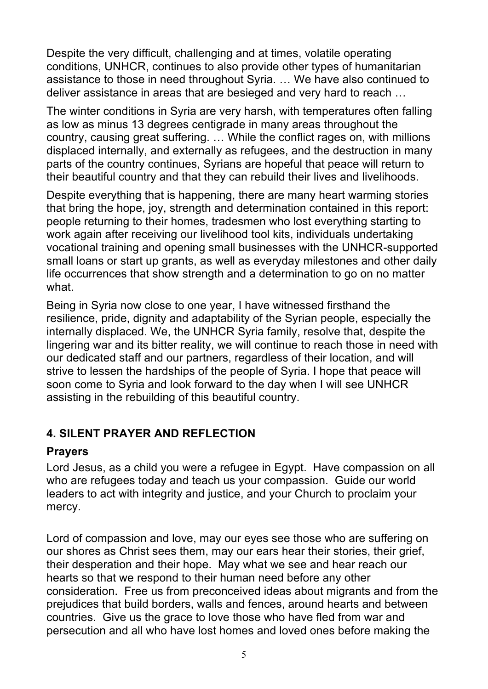Despite the very difficult, challenging and at times, volatile operating conditions, UNHCR, continues to also provide other types of humanitarian assistance to those in need throughout Syria. … We have also continued to deliver assistance in areas that are besieged and very hard to reach …

The winter conditions in Syria are very harsh, with temperatures often falling as low as minus 13 degrees centigrade in many areas throughout the country, causing great suffering. … While the conflict rages on, with millions displaced internally, and externally as refugees, and the destruction in many parts of the country continues, Syrians are hopeful that peace will return to their beautiful country and that they can rebuild their lives and livelihoods.

Despite everything that is happening, there are many heart warming stories that bring the hope, joy, strength and determination contained in this report: people returning to their homes, tradesmen who lost everything starting to work again after receiving our livelihood tool kits, individuals undertaking vocational training and opening small businesses with the UNHCR-supported small loans or start up grants, as well as everyday milestones and other daily life occurrences that show strength and a determination to go on no matter what.

Being in Syria now close to one year, I have witnessed firsthand the resilience, pride, dignity and adaptability of the Syrian people, especially the internally displaced. We, the UNHCR Syria family, resolve that, despite the lingering war and its bitter reality, we will continue to reach those in need with our dedicated staff and our partners, regardless of their location, and will strive to lessen the hardships of the people of Syria. I hope that peace will soon come to Syria and look forward to the day when I will see UNHCR assisting in the rebuilding of this beautiful country.

# **4. SILENT PRAYER AND REFLECTION**

#### **Prayers**

Lord Jesus, as a child you were a refugee in Egypt. Have compassion on all who are refugees today and teach us your compassion. Guide our world leaders to act with integrity and justice, and your Church to proclaim your mercy.

Lord of compassion and love, may our eyes see those who are suffering on our shores as Christ sees them, may our ears hear their stories, their grief, their desperation and their hope. May what we see and hear reach our hearts so that we respond to their human need before any other consideration. Free us from preconceived ideas about migrants and from the prejudices that build borders, walls and fences, around hearts and between countries. Give us the grace to love those who have fled from war and persecution and all who have lost homes and loved ones before making the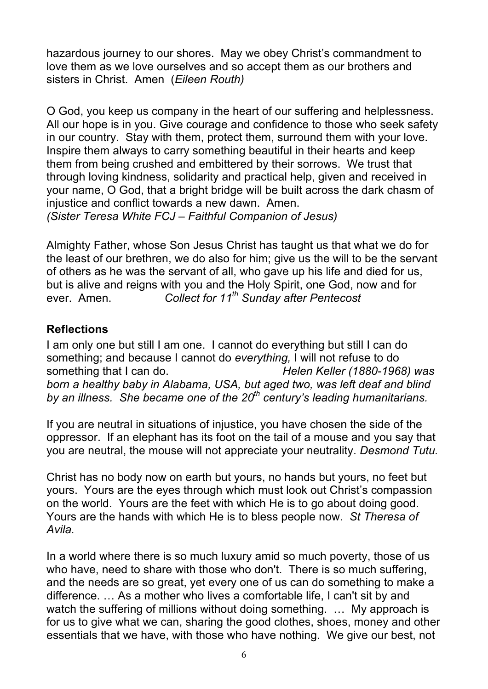hazardous journey to our shores. May we obey Christ's commandment to love them as we love ourselves and so accept them as our brothers and sisters in Christ. Amen (*Eileen Routh)*

O God, you keep us company in the heart of our suffering and helplessness. All our hope is in you. Give courage and confidence to those who seek safety in our country. Stay with them, protect them, surround them with your love. Inspire them always to carry something beautiful in their hearts and keep them from being crushed and embittered by their sorrows. We trust that through loving kindness, solidarity and practical help, given and received in your name, O God, that a bright bridge will be built across the dark chasm of injustice and conflict towards a new dawn. Amen. *(Sister Teresa White FCJ – Faithful Companion of Jesus)*

Almighty Father, whose Son Jesus Christ has taught us that what we do for the least of our brethren, we do also for him; give us the will to be the servant of others as he was the servant of all, who gave up his life and died for us, but is alive and reigns with you and the Holy Spirit, one God, now and for ever. Amen. *Collect for 11th Sunday after Pentecost*

# **Reflections**

I am only one but still I am one. I cannot do everything but still I can do something; and because I cannot do *everything,* I will not refuse to do something that I can do. *Helen Keller (1880-1968) was born a healthy baby in Alabama, USA, but aged two, was left deaf and blind by an illness. She became one of the 20th century's leading humanitarians.*

If you are neutral in situations of injustice, you have chosen the side of the oppressor. If an elephant has its foot on the tail of a mouse and you say that you are neutral, the mouse will not appreciate your neutrality. *Desmond Tutu.* 

Christ has no body now on earth but yours, no hands but yours, no feet but yours. Yours are the eyes through which must look out Christ's compassion on the world. Yours are the feet with which He is to go about doing good. Yours are the hands with which He is to bless people now. *St Theresa of Avila.* 

In a world where there is so much luxury amid so much poverty, those of us who have, need to share with those who don't. There is so much suffering, and the needs are so great, yet every one of us can do something to make a difference. … As a mother who lives a comfortable life, I can't sit by and watch the suffering of millions without doing something. ... My approach is for us to give what we can, sharing the good clothes, shoes, money and other essentials that we have, with those who have nothing. We give our best, not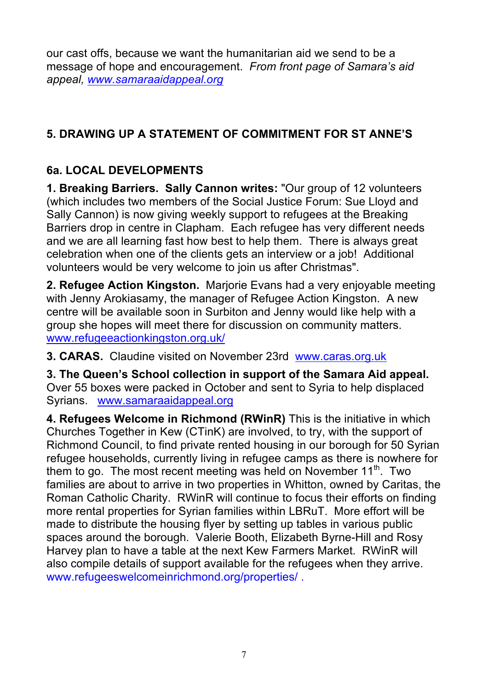our cast offs, because we want the humanitarian aid we send to be a message of hope and encouragement. *From front page of Samara's aid appeal, www.samaraaidappeal.org*

# **5. DRAWING UP A STATEMENT OF COMMITMENT FOR ST ANNE'S**

# **6a. LOCAL DEVELOPMENTS**

**1. Breaking Barriers. Sally Cannon writes:** "Our group of 12 volunteers (which includes two members of the Social Justice Forum: Sue Lloyd and Sally Cannon) is now giving weekly support to refugees at the Breaking Barriers drop in centre in Clapham. Each refugee has very different needs and we are all learning fast how best to help them. There is always great celebration when one of the clients gets an interview or a job! Additional volunteers would be very welcome to join us after Christmas".

**2. Refugee Action Kingston.** Marjorie Evans had a very enjoyable meeting with Jenny Arokiasamy, the manager of Refugee Action Kingston. A new centre will be available soon in Surbiton and Jenny would like help with a group she hopes will meet there for discussion on community matters. www.refugeeactionkingston.org.uk/

**3. CARAS.** Claudine visited on November 23rd www.caras.org.uk

**3. The Queen's School collection in support of the Samara Aid appeal.**  Over 55 boxes were packed in October and sent to Syria to help displaced Syrians. www.samaraaidappeal.org

**4. Refugees Welcome in Richmond (RWinR)** This is the initiative in which Churches Together in Kew (CTinK) are involved, to try, with the support of Richmond Council, to find private rented housing in our borough for 50 Syrian refugee households, currently living in refugee camps as there is nowhere for them to go. The most recent meeting was held on November 11<sup>th</sup>. Two families are about to arrive in two properties in Whitton, owned by Caritas, the Roman Catholic Charity. RWinR will continue to focus their efforts on finding more rental properties for Syrian families within LBRuT. More effort will be made to distribute the housing flyer by setting up tables in various public spaces around the borough. Valerie Booth, Elizabeth Byrne-Hill and Rosy Harvey plan to have a table at the next Kew Farmers Market. RWinR will also compile details of support available for the refugees when they arrive. www.refugeeswelcomeinrichmond.org/properties/ .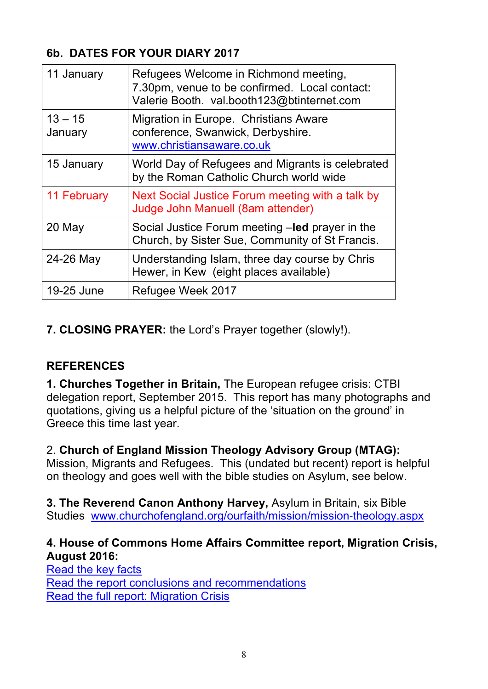# **6b. DATES FOR YOUR DIARY 2017**

| 11 January           | Refugees Welcome in Richmond meeting,<br>7.30pm, venue to be confirmed. Local contact:<br>Valerie Booth. val.booth123@btinternet.com |
|----------------------|--------------------------------------------------------------------------------------------------------------------------------------|
| $13 - 15$<br>January | Migration in Europe. Christians Aware<br>conference, Swanwick, Derbyshire.<br>www.christiansaware.co.uk                              |
| 15 January           | World Day of Refugees and Migrants is celebrated<br>by the Roman Catholic Church world wide                                          |
| <b>11 February</b>   | Next Social Justice Forum meeting with a talk by<br>Judge John Manuell (8am attender)                                                |
| 20 May               | Social Justice Forum meeting -led prayer in the<br>Church, by Sister Sue, Community of St Francis.                                   |
| 24-26 May            | Understanding Islam, three day course by Chris<br>Hewer, in Kew (eight places available)                                             |
| 19-25 June           | Refugee Week 2017                                                                                                                    |

**7. CLOSING PRAYER:** the Lord's Prayer together (slowly!).

# **REFERENCES**

**1. Churches Together in Britain,** The European refugee crisis: CTBI delegation report, September 2015. This report has many photographs and quotations, giving us a helpful picture of the 'situation on the ground' in Greece this time last year.

2. **Church of England Mission Theology Advisory Group (MTAG):**  Mission, Migrants and Refugees. This (undated but recent) report is helpful on theology and goes well with the bible studies on Asylum, see below.

**3. The Reverend Canon Anthony Harvey,** Asylum in Britain, six Bible Studies www.churchofengland.org/ourfaith/mission/mission-theology.aspx

# **4. House of Commons Home Affairs Committee report, Migration Crisis, August 2016:**

Read the key facts Read the report conclusions and recommendations Read the full report: Migration Crisis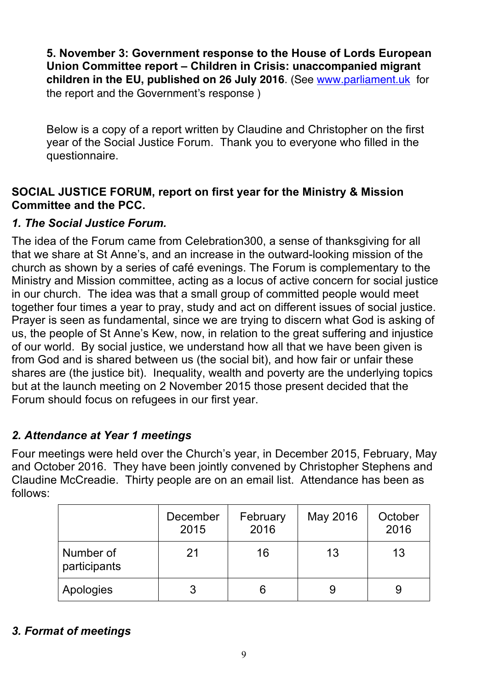**5. November 3: Government response to the House of Lords European Union Committee report – Children in Crisis: unaccompanied migrant children in the EU, published on 26 July 2016**. (See www.parliament.uk for the report and the Government's response )

Below is a copy of a report written by Claudine and Christopher on the first year of the Social Justice Forum. Thank you to everyone who filled in the questionnaire.

# **SOCIAL JUSTICE FORUM, report on first year for the Ministry & Mission Committee and the PCC.**

# *1. The Social Justice Forum.*

The idea of the Forum came from Celebration300, a sense of thanksgiving for all that we share at St Anne's, and an increase in the outward-looking mission of the church as shown by a series of café evenings. The Forum is complementary to the Ministry and Mission committee, acting as a locus of active concern for social justice in our church. The idea was that a small group of committed people would meet together four times a year to pray, study and act on different issues of social justice. Prayer is seen as fundamental, since we are trying to discern what God is asking of us, the people of St Anne's Kew, now, in relation to the great suffering and injustice of our world. By social justice, we understand how all that we have been given is from God and is shared between us (the social bit), and how fair or unfair these shares are (the justice bit). Inequality, wealth and poverty are the underlying topics but at the launch meeting on 2 November 2015 those present decided that the Forum should focus on refugees in our first year.

# *2. Attendance at Year 1 meetings*

Four meetings were held over the Church's year, in December 2015, February, May and October 2016. They have been jointly convened by Christopher Stephens and Claudine McCreadie. Thirty people are on an email list. Attendance has been as follows:

|                           | December<br>2015 | February<br>2016 | May 2016 | October<br>2016 |
|---------------------------|------------------|------------------|----------|-----------------|
| Number of<br>participants | 21               | 16               | 13       | 13              |
| Apologies                 |                  |                  |          | 9               |

# *3. Format of meetings*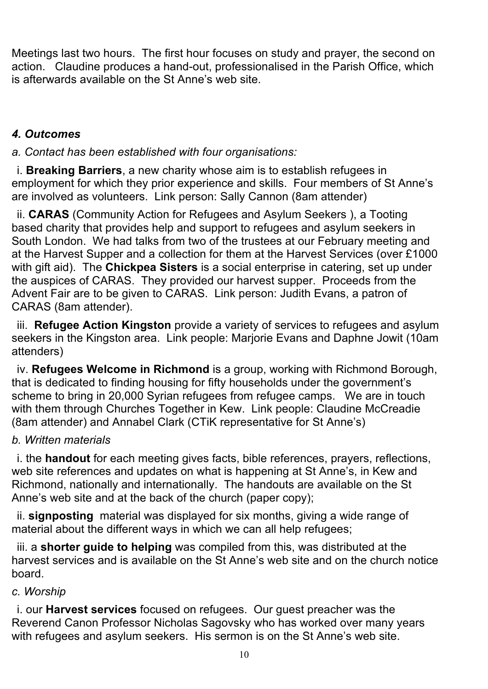Meetings last two hours. The first hour focuses on study and prayer, the second on action. Claudine produces a hand-out, professionalised in the Parish Office, which is afterwards available on the St Anne's web site.

# *4. Outcomes*

*a. Contact has been established with four organisations:*

i. **Breaking Barriers**, a new charity whose aim is to establish refugees in employment for which they prior experience and skills. Four members of St Anne's are involved as volunteers. Link person: Sally Cannon (8am attender)

ii. **CARAS** (Community Action for Refugees and Asylum Seekers ), a Tooting based charity that provides help and support to refugees and asylum seekers in South London. We had talks from two of the trustees at our February meeting and at the Harvest Supper and a collection for them at the Harvest Services (over £1000 with gift aid). The **Chickpea Sisters** is a social enterprise in catering, set up under the auspices of CARAS. They provided our harvest supper. Proceeds from the Advent Fair are to be given to CARAS. Link person: Judith Evans, a patron of CARAS (8am attender).

iii. **Refugee Action Kingston** provide a variety of services to refugees and asylum seekers in the Kingston area. Link people: Marjorie Evans and Daphne Jowit (10am attenders)

iv. **Refugees Welcome in Richmond** is a group, working with Richmond Borough, that is dedicated to finding housing for fifty households under the government's scheme to bring in 20,000 Syrian refugees from refugee camps. We are in touch with them through Churches Together in Kew. Link people: Claudine McCreadie (8am attender) and Annabel Clark (CTiK representative for St Anne's)

#### *b. Written materials*

i. the **handout** for each meeting gives facts, bible references, prayers, reflections, web site references and updates on what is happening at St Anne's, in Kew and Richmond, nationally and internationally. The handouts are available on the St Anne's web site and at the back of the church (paper copy);

ii. **signposting** material was displayed for six months, giving a wide range of material about the different ways in which we can all help refugees;

iii. a **shorter guide to helping** was compiled from this, was distributed at the harvest services and is available on the St Anne's web site and on the church notice board.

# *c. Worship*

i. our **Harvest services** focused on refugees. Our guest preacher was the Reverend Canon Professor Nicholas Sagovsky who has worked over many years with refugees and asylum seekers. His sermon is on the St Anne's web site.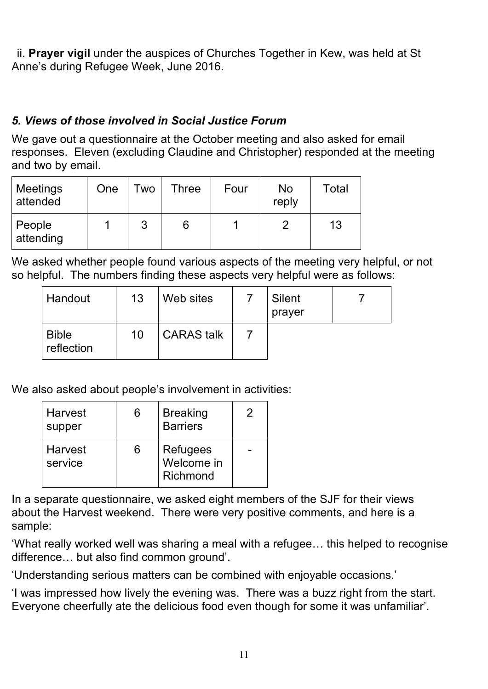ii. **Prayer vigil** under the auspices of Churches Together in Kew, was held at St Anne's during Refugee Week, June 2016.

# *5. Views of those involved in Social Justice Forum*

We gave out a questionnaire at the October meeting and also asked for email responses. Eleven (excluding Claudine and Christopher) responded at the meeting and two by email.

| Meetings<br>attended | One | <b>Two</b> | Three | Four | No<br>reply | Total |
|----------------------|-----|------------|-------|------|-------------|-------|
| People<br>attending  |     | 3          | 6     |      |             | 13    |

We asked whether people found various aspects of the meeting very helpful, or not so helpful. The numbers finding these aspects very helpful were as follows:

| Handout                    | 13 | Web sites         | <b>Silent</b><br>prayer |  |
|----------------------------|----|-------------------|-------------------------|--|
| <b>Bible</b><br>reflection | 10 | <b>CARAS</b> talk |                         |  |

We also asked about people's involvement in activities:

| Harvest<br>supper  | 6 | <b>Breaking</b><br><b>Barriers</b> | 2 |
|--------------------|---|------------------------------------|---|
| Harvest<br>service | 6 | Refugees<br>Welcome in<br>Richmond |   |

In a separate questionnaire, we asked eight members of the SJF for their views about the Harvest weekend. There were very positive comments, and here is a sample:

'What really worked well was sharing a meal with a refugee… this helped to recognise difference… but also find common ground'.

'Understanding serious matters can be combined with enjoyable occasions.'

'I was impressed how lively the evening was. There was a buzz right from the start. Everyone cheerfully ate the delicious food even though for some it was unfamiliar'.